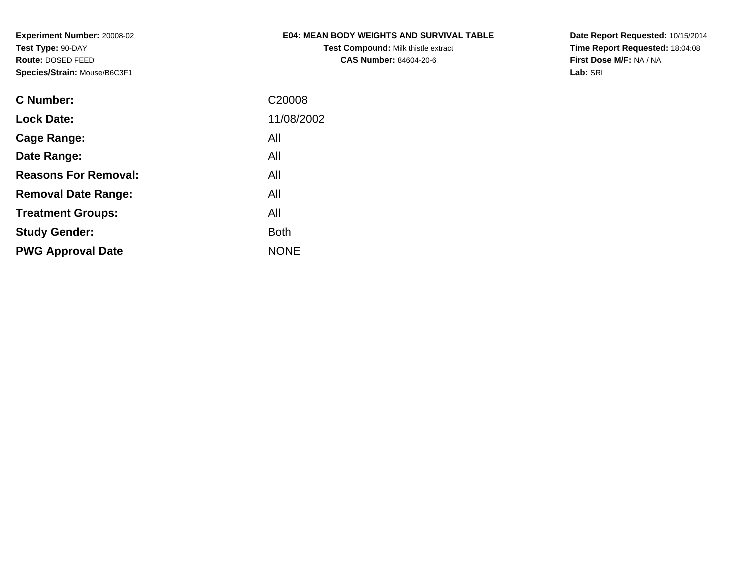**Test Compound:** Milk thistle extract**CAS Number:** 84604-20-6

**Date Report Requested:** 10/15/2014 **Time Report Requested:** 18:04:08**First Dose M/F:** NA / NA**Lab:** SRI

| <b>Lock Date:</b><br>All<br>Cage Range:<br>All<br>Date Range:<br><b>Reasons For Removal:</b><br>All<br>All<br><b>Removal Date Range:</b><br>All<br><b>Treatment Groups:</b><br><b>Both</b><br><b>Study Gender:</b><br><b>NONE</b><br><b>PWG Approval Date</b> | <b>C</b> Number: | C <sub>20008</sub> |
|---------------------------------------------------------------------------------------------------------------------------------------------------------------------------------------------------------------------------------------------------------------|------------------|--------------------|
|                                                                                                                                                                                                                                                               |                  | 11/08/2002         |
|                                                                                                                                                                                                                                                               |                  |                    |
|                                                                                                                                                                                                                                                               |                  |                    |
|                                                                                                                                                                                                                                                               |                  |                    |
|                                                                                                                                                                                                                                                               |                  |                    |
|                                                                                                                                                                                                                                                               |                  |                    |
|                                                                                                                                                                                                                                                               |                  |                    |
|                                                                                                                                                                                                                                                               |                  |                    |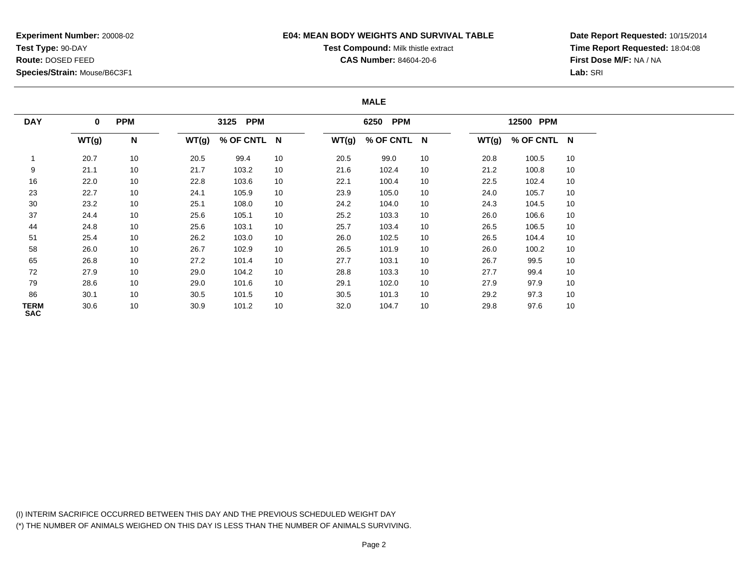### **E04: MEAN BODY WEIGHTS AND SURVIVAL TABLE**

# **Test Compound:** Milk thistle extract

**CAS Number:** 84604-20-6

**Date Report Requested:** 10/15/2014**Time Report Requested:** 18:04:08**First Dose M/F:** NA / NA**Lab:** SRI

#### **MALE**

| <b>DAY</b>         | <b>PPM</b><br>$\mathbf 0$ |    | 3125 PPM |             |    |       | 6250 PPM    |    |       | 12500 PPM   |    |  |
|--------------------|---------------------------|----|----------|-------------|----|-------|-------------|----|-------|-------------|----|--|
|                    | WT(g)                     | N  | WT(g)    | % OF CNTL N |    | WT(g) | % OF CNTL N |    | WT(g) | % OF CNTL N |    |  |
|                    | 20.7                      | 10 | 20.5     | 99.4        | 10 | 20.5  | 99.0        | 10 | 20.8  | 100.5       | 10 |  |
| 9                  | 21.1                      | 10 | 21.7     | 103.2       | 10 | 21.6  | 102.4       | 10 | 21.2  | 100.8       | 10 |  |
| 16                 | 22.0                      | 10 | 22.8     | 103.6       | 10 | 22.1  | 100.4       | 10 | 22.5  | 102.4       | 10 |  |
| 23                 | 22.7                      | 10 | 24.1     | 105.9       | 10 | 23.9  | 105.0       | 10 | 24.0  | 105.7       | 10 |  |
| 30                 | 23.2                      | 10 | 25.1     | 108.0       | 10 | 24.2  | 104.0       | 10 | 24.3  | 104.5       | 10 |  |
| 37                 | 24.4                      | 10 | 25.6     | 105.1       | 10 | 25.2  | 103.3       | 10 | 26.0  | 106.6       | 10 |  |
| 44                 | 24.8                      | 10 | 25.6     | 103.1       | 10 | 25.7  | 103.4       | 10 | 26.5  | 106.5       | 10 |  |
| 51                 | 25.4                      | 10 | 26.2     | 103.0       | 10 | 26.0  | 102.5       | 10 | 26.5  | 104.4       | 10 |  |
| 58                 | 26.0                      | 10 | 26.7     | 102.9       | 10 | 26.5  | 101.9       | 10 | 26.0  | 100.2       | 10 |  |
| 65                 | 26.8                      | 10 | 27.2     | 101.4       | 10 | 27.7  | 103.1       | 10 | 26.7  | 99.5        | 10 |  |
| 72                 | 27.9                      | 10 | 29.0     | 104.2       | 10 | 28.8  | 103.3       | 10 | 27.7  | 99.4        | 10 |  |
| 79                 | 28.6                      | 10 | 29.0     | 101.6       | 10 | 29.1  | 102.0       | 10 | 27.9  | 97.9        | 10 |  |
| 86                 | 30.1                      | 10 | 30.5     | 101.5       | 10 | 30.5  | 101.3       | 10 | 29.2  | 97.3        | 10 |  |
| TERM<br><b>SAC</b> | 30.6                      | 10 | 30.9     | 101.2       | 10 | 32.0  | 104.7       | 10 | 29.8  | 97.6        | 10 |  |

(I) INTERIM SACRIFICE OCCURRED BETWEEN THIS DAY AND THE PREVIOUS SCHEDULED WEIGHT DAY(\*) THE NUMBER OF ANIMALS WEIGHED ON THIS DAY IS LESS THAN THE NUMBER OF ANIMALS SURVIVING.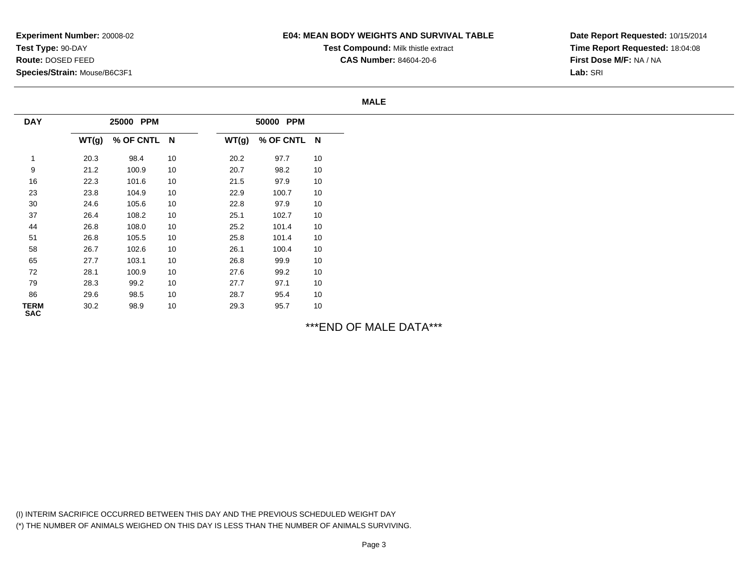### **E04: MEAN BODY WEIGHTS AND SURVIVAL TABLE**

**Test Compound:** Milk thistle extract

**CAS Number:** 84604-20-6

**Date Report Requested:** 10/15/2014**Time Report Requested:** 18:04:08**First Dose M/F:** NA / NA**Lab:** SRI

#### **MALE**

| <b>DAY</b>                | 25000 PPM |           |                         | 50000 PPM |           |    |  |  |
|---------------------------|-----------|-----------|-------------------------|-----------|-----------|----|--|--|
|                           | WT(g)     | % OF CNTL | $\overline{\mathsf{N}}$ | WT(g)     | % OF CNTL | N  |  |  |
| 1                         | 20.3      | 98.4      | 10                      | 20.2      | 97.7      | 10 |  |  |
| 9                         | 21.2      | 100.9     | 10                      | 20.7      | 98.2      | 10 |  |  |
| 16                        | 22.3      | 101.6     | 10                      | 21.5      | 97.9      | 10 |  |  |
| 23                        | 23.8      | 104.9     | 10                      | 22.9      | 100.7     | 10 |  |  |
| 30                        | 24.6      | 105.6     | 10                      | 22.8      | 97.9      | 10 |  |  |
| 37                        | 26.4      | 108.2     | 10                      | 25.1      | 102.7     | 10 |  |  |
| 44                        | 26.8      | 108.0     | 10                      | 25.2      | 101.4     | 10 |  |  |
| 51                        | 26.8      | 105.5     | 10                      | 25.8      | 101.4     | 10 |  |  |
| 58                        | 26.7      | 102.6     | 10                      | 26.1      | 100.4     | 10 |  |  |
| 65                        | 27.7      | 103.1     | 10                      | 26.8      | 99.9      | 10 |  |  |
| 72                        | 28.1      | 100.9     | 10                      | 27.6      | 99.2      | 10 |  |  |
| 79                        | 28.3      | 99.2      | 10                      | 27.7      | 97.1      | 10 |  |  |
| 86                        | 29.6      | 98.5      | 10                      | 28.7      | 95.4      | 10 |  |  |
| <b>TERM</b><br><b>SAC</b> | 30.2      | 98.9      | 10                      | 29.3      | 95.7      | 10 |  |  |

\*\*\*END OF MALE DATA\*\*\*

(I) INTERIM SACRIFICE OCCURRED BETWEEN THIS DAY AND THE PREVIOUS SCHEDULED WEIGHT DAY(\*) THE NUMBER OF ANIMALS WEIGHED ON THIS DAY IS LESS THAN THE NUMBER OF ANIMALS SURVIVING.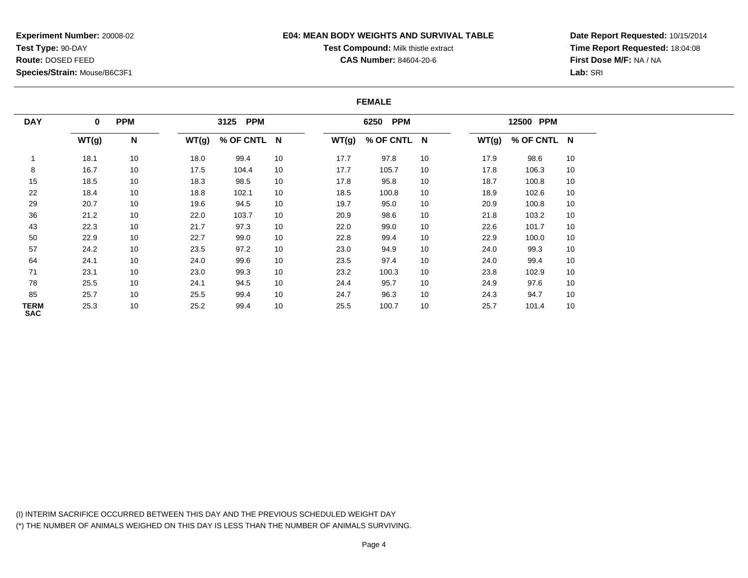### **E04: MEAN BODY WEIGHTS AND SURVIVAL TABLE**

# **Test Compound:** Milk thistle extract

**CAS Number:** 84604-20-6

**Date Report Requested:** 10/15/2014**Time Report Requested:** 18:04:08**First Dose M/F:** NA / NA**Lab:** SRI

#### **FEMALE**

| <b>DAY</b>                | $\mathbf 0$ |              | <b>PPM</b> |             | <b>PPM</b><br>3125 |       |             |    | <b>PPM</b><br>6250 |             |    | 12500 PPM |  |  |
|---------------------------|-------------|--------------|------------|-------------|--------------------|-------|-------------|----|--------------------|-------------|----|-----------|--|--|
|                           | WT(g)       | $\mathsf{N}$ | WT(g)      | % OF CNTL N |                    | WT(g) | % OF CNTL N |    | WT(g)              | % OF CNTL N |    |           |  |  |
|                           | 18.1        | 10           | 18.0       | 99.4        | 10                 | 17.7  | 97.8        | 10 | 17.9               | 98.6        | 10 |           |  |  |
| 8                         | 16.7        | 10           | 17.5       | 104.4       | 10                 | 17.7  | 105.7       | 10 | 17.8               | 106.3       | 10 |           |  |  |
| 15                        | 18.5        | 10           | 18.3       | 98.5        | 10                 | 17.8  | 95.8        | 10 | 18.7               | 100.8       | 10 |           |  |  |
| 22                        | 18.4        | 10           | 18.8       | 102.1       | 10                 | 18.5  | 100.8       | 10 | 18.9               | 102.6       | 10 |           |  |  |
| 29                        | 20.7        | 10           | 19.6       | 94.5        | 10                 | 19.7  | 95.0        | 10 | 20.9               | 100.8       | 10 |           |  |  |
| 36                        | 21.2        | 10           | 22.0       | 103.7       | 10                 | 20.9  | 98.6        | 10 | 21.8               | 103.2       | 10 |           |  |  |
| 43                        | 22.3        | 10           | 21.7       | 97.3        | 10                 | 22.0  | 99.0        | 10 | 22.6               | 101.7       | 10 |           |  |  |
| 50                        | 22.9        | 10           | 22.7       | 99.0        | 10                 | 22.8  | 99.4        | 10 | 22.9               | 100.0       | 10 |           |  |  |
| 57                        | 24.2        | 10           | 23.5       | 97.2        | 10                 | 23.0  | 94.9        | 10 | 24.0               | 99.3        | 10 |           |  |  |
| 64                        | 24.1        | 10           | 24.0       | 99.6        | 10                 | 23.5  | 97.4        | 10 | 24.0               | 99.4        | 10 |           |  |  |
| 71                        | 23.1        | 10           | 23.0       | 99.3        | 10                 | 23.2  | 100.3       | 10 | 23.8               | 102.9       | 10 |           |  |  |
| 78                        | 25.5        | 10           | 24.1       | 94.5        | 10                 | 24.4  | 95.7        | 10 | 24.9               | 97.6        | 10 |           |  |  |
| 85                        | 25.7        | 10           | 25.5       | 99.4        | 10                 | 24.7  | 96.3        | 10 | 24.3               | 94.7        | 10 |           |  |  |
| <b>TERM</b><br><b>SAC</b> | 25.3        | 10           | 25.2       | 99.4        | 10                 | 25.5  | 100.7       | 10 | 25.7               | 101.4       | 10 |           |  |  |